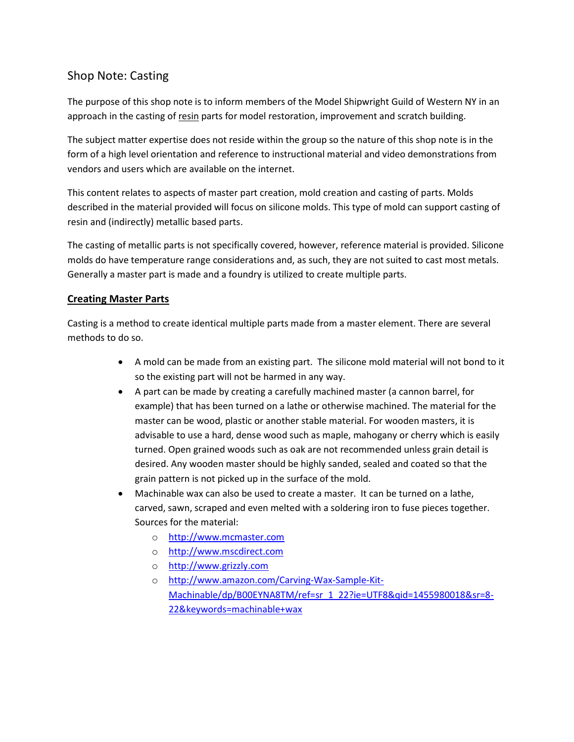# Shop Note: Casting

The purpose of this shop note is to inform members of the Model Shipwright Guild of Western NY in an approach in the casting of resin parts for model restoration, improvement and scratch building.

The subject matter expertise does not reside within the group so the nature of this shop note is in the form of a high level orientation and reference to instructional material and video demonstrations from vendors and users which are available on the internet.

This content relates to aspects of master part creation, mold creation and casting of parts. Molds described in the material provided will focus on silicone molds. This type of mold can support casting of resin and (indirectly) metallic based parts.

The casting of metallic parts is not specifically covered, however, reference material is provided. Silicone molds do have temperature range considerations and, as such, they are not suited to cast most metals. Generally a master part is made and a foundry is utilized to create multiple parts.

## Creating Master Parts

Casting is a method to create identical multiple parts made from a master element. There are several methods to do so.

- A mold can be made from an existing part. The silicone mold material will not bond to it so the existing part will not be harmed in any way.
- A part can be made by creating a carefully machined master (a cannon barrel, for example) that has been turned on a lathe or otherwise machined. The material for the master can be wood, plastic or another stable material. For wooden masters, it is advisable to use a hard, dense wood such as maple, mahogany or cherry which is easily turned. Open grained woods such as oak are not recommended unless grain detail is desired. Any wooden master should be highly sanded, sealed and coated so that the grain pattern is not picked up in the surface of the mold.
- Machinable wax can also be used to create a master. It can be turned on a lathe, carved, sawn, scraped and even melted with a soldering iron to fuse pieces together. Sources for the material:
	- o http://www.mcmaster.com
	- o http://www.mscdirect.com
	- o http://www.grizzly.com
	- o http://www.amazon.com/Carving-Wax-Sample-Kit-Machinable/dp/B00EYNA8TM/ref=sr\_1\_22?ie=UTF8&qid=1455980018&sr=8- 22&keywords=machinable+wax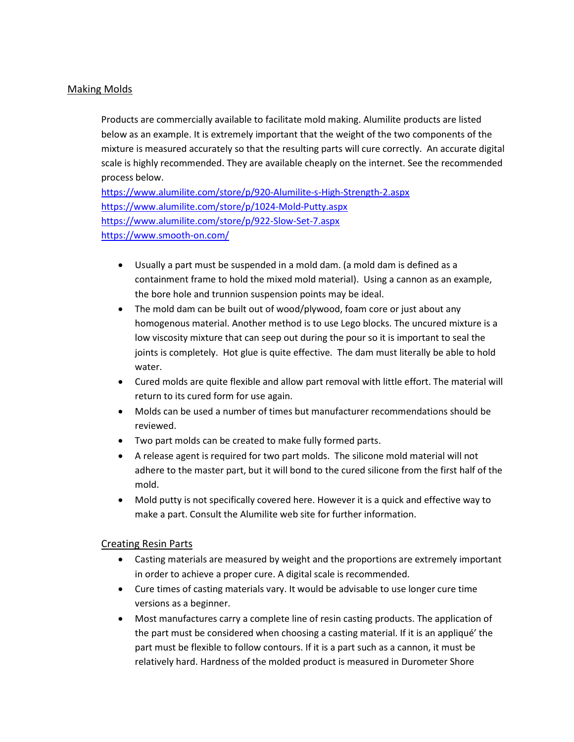### Making Molds

Products are commercially available to facilitate mold making. Alumilite products are listed below as an example. It is extremely important that the weight of the two components of the mixture is measured accurately so that the resulting parts will cure correctly. An accurate digital scale is highly recommended. They are available cheaply on the internet. See the recommended process below.

https://www.alumilite.com/store/p/920-Alumilite-s-High-Strength-2.aspx https://www.alumilite.com/store/p/1024-Mold-Putty.aspx https://www.alumilite.com/store/p/922-Slow-Set-7.aspx https://www.smooth-on.com/

- Usually a part must be suspended in a mold dam. (a mold dam is defined as a containment frame to hold the mixed mold material). Using a cannon as an example, the bore hole and trunnion suspension points may be ideal.
- The mold dam can be built out of wood/plywood, foam core or just about any homogenous material. Another method is to use Lego blocks. The uncured mixture is a low viscosity mixture that can seep out during the pour so it is important to seal the joints is completely. Hot glue is quite effective. The dam must literally be able to hold water.
- Cured molds are quite flexible and allow part removal with little effort. The material will return to its cured form for use again.
- Molds can be used a number of times but manufacturer recommendations should be reviewed.
- Two part molds can be created to make fully formed parts.
- A release agent is required for two part molds. The silicone mold material will not adhere to the master part, but it will bond to the cured silicone from the first half of the mold.
- Mold putty is not specifically covered here. However it is a quick and effective way to make a part. Consult the Alumilite web site for further information.

#### Creating Resin Parts

- Casting materials are measured by weight and the proportions are extremely important in order to achieve a proper cure. A digital scale is recommended.
- Cure times of casting materials vary. It would be advisable to use longer cure time versions as a beginner.
- Most manufactures carry a complete line of resin casting products. The application of the part must be considered when choosing a casting material. If it is an appliqué' the part must be flexible to follow contours. If it is a part such as a cannon, it must be relatively hard. Hardness of the molded product is measured in Durometer Shore